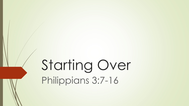# Starting Over Philippians 3:7-16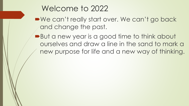### Welcome to 2022

■We can't really start over. We can't go back and change the past.

■But a new year is a good time to think about ourselves and draw a line in the sand to mark a new purpose for life and a new way of thinking.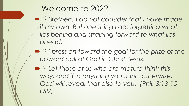## Welcome to 2022

 *<sup>13</sup> Brothers, I do not consider that I have made it my own. But one thing I do: forgetting what lies behind and straining forward to what lies ahead,*

- *<sup>14</sup> I press on toward the goal for the prize of the upward call of God in Christ Jesus.*
- *<sup>15</sup> Let those of us who are mature think this way, and if in anything you think otherwise, God will reveal that also to you. (Phil. 3:13-15 ESV)*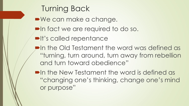Turning Back We can make a change. In fact we are required to do so.  $\blacksquare$ **It's called repentance Phenomentifully** the word was defined as "turning, turn around, turn away from rebellion and turn toward obedience" **• In the New Testament the word is defined as** "changing one's thinking, change one's mind or purpose"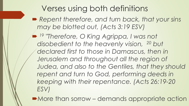# Verses using both definitions

 *Repent therefore, and turn back, that your sins may be blotted out, (Acts 3:19 ESV)*

 *<sup>19</sup> "Therefore, O King Agrippa, I was not disobedient to the heavenly vision, <sup>20</sup> but declared first to those in Damascus, then in Jerusalem and throughout all the region of Judea, and also to the Gentiles, that they should repent and turn to God, performing deeds in keeping with their repentance. (Acts 26:19-20 ESV)* 

■ More than sorrow – demands appropriate action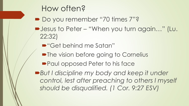### How often?

- Do you remember "70 times 7"?
- Jesus to Peter "When you turn again…" (Lu. 22:32)
	- ■"Get behind me Satan"
	- The vision before going to Cornelius
	- **Paul opposed Peter to his face**

■**But I discipline my body and keep it under** *control, lest after preaching to others I myself should be disqualified. (1 Cor. 9:27 ESV)*